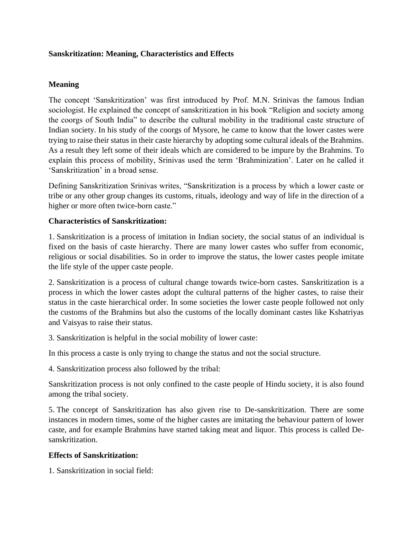## **Sanskritization: Meaning, Characteristics and Effects**

## **Meaning**

The concept 'Sanskritization' was first introduced by Prof. M.N. Srinivas the famous Indian sociologist. He explained the concept of sanskritization in his book "Religion and society among the coorgs of South India" to describe the cultural mobility in the traditional caste structure of Indian society. In his study of the coorgs of Mysore, he came to know that the lower castes were trying to raise their status in their caste hierarchy by adopting some cultural ideals of the Brahmins. As a result they left some of their ideals which are considered to be impure by the Brahmins. To explain this process of mobility, Srinivas used the term 'Brahminization'. Later on he called it 'Sanskritization' in a broad sense.

Defining Sanskritization Srinivas writes, "Sanskritization is a process by which a lower caste or tribe or any other group changes its customs, rituals, ideology and way of life in the direction of a higher or more often twice-born caste."

## **Characteristics of Sanskritization:**

1. Sanskritization is a process of imitation in Indian society, the social status of an individual is fixed on the basis of caste hierarchy. There are many lower castes who suffer from economic, religious or social disabilities. So in order to improve the status, the lower castes people imitate the life style of the upper caste people.

2. Sanskritization is a process of cultural change towards twice-born castes. Sanskritization is a process in which the lower castes adopt the cultural patterns of the higher castes, to raise their status in the caste hierarchical order. In some societies the lower caste people followed not only the customs of the Brahmins but also the customs of the locally dominant castes like Kshatriyas and Vaisyas to raise their status.

3. Sanskritization is helpful in the social mobility of lower caste:

In this process a caste is only trying to change the status and not the social structure.

4. Sanskritization process also followed by the tribal:

Sanskritization process is not only confined to the caste people of Hindu society, it is also found among the tribal society.

5. The concept of Sanskritization has also given rise to De-sanskritization. There are some instances in modern times, some of the higher castes are imitating the behaviour pattern of lower caste, and for example Brahmins have started taking meat and liquor. This process is called Desanskritization.

## **Effects of Sanskritization:**

1. Sanskritization in social field: